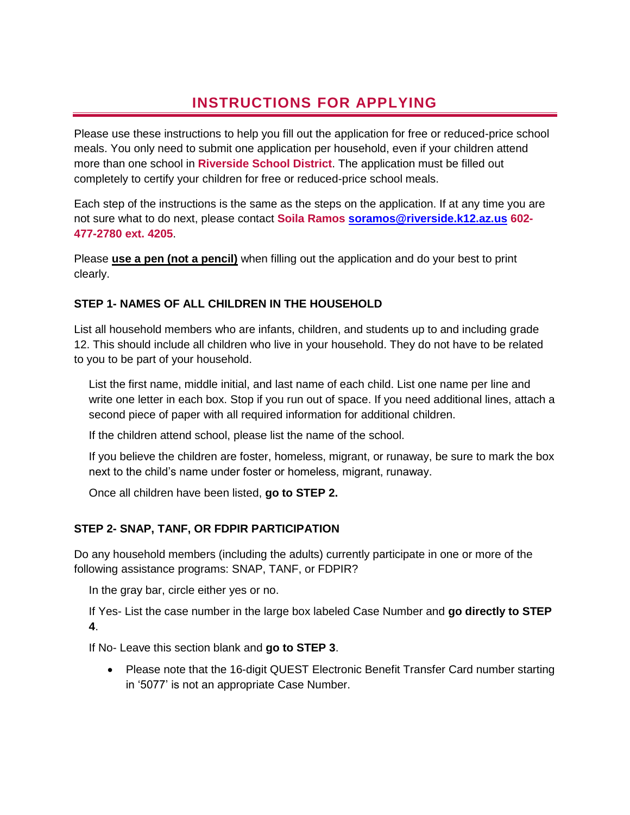# **INSTRUCTIONS FOR APPLYING**

Please use these instructions to help you fill out the application for free or reduced-price school meals. You only need to submit one application per household, even if your children attend more than one school in **Riverside School District**. The application must be filled out completely to certify your children for free or reduced-price school meals.

Each step of the instructions is the same as the steps on the application. If at any time you are not sure what to do next, please contact **Soila Ramos [soramos@riverside.k12.az.us](mailto:soramos@riverside.k12.az.us) 602- 477-2780 ext. 4205**.

Please **use a pen (not a pencil)** when filling out the application and do your best to print clearly.

## **STEP 1- NAMES OF ALL CHILDREN IN THE HOUSEHOLD**

List all household members who are infants, children, and students up to and including grade 12. This should include all children who live in your household. They do not have to be related to you to be part of your household.

List the first name, middle initial, and last name of each child. List one name per line and write one letter in each box. Stop if you run out of space. If you need additional lines, attach a second piece of paper with all required information for additional children.

If the children attend school, please list the name of the school.

If you believe the children are foster, homeless, migrant, or runaway, be sure to mark the box next to the child's name under foster or homeless, migrant, runaway.

Once all children have been listed, **go to STEP 2.** 

# **STEP 2- SNAP, TANF, OR FDPIR PARTICIPATION**

Do any household members (including the adults) currently participate in one or more of the following assistance programs: SNAP, TANF, or FDPIR?

In the gray bar, circle either yes or no.

If Yes- List the case number in the large box labeled Case Number and **go directly to STEP 4**.

If No- Leave this section blank and **go to STEP 3**.

• Please note that the 16-digit QUEST Electronic Benefit Transfer Card number starting in '5077' is not an appropriate Case Number.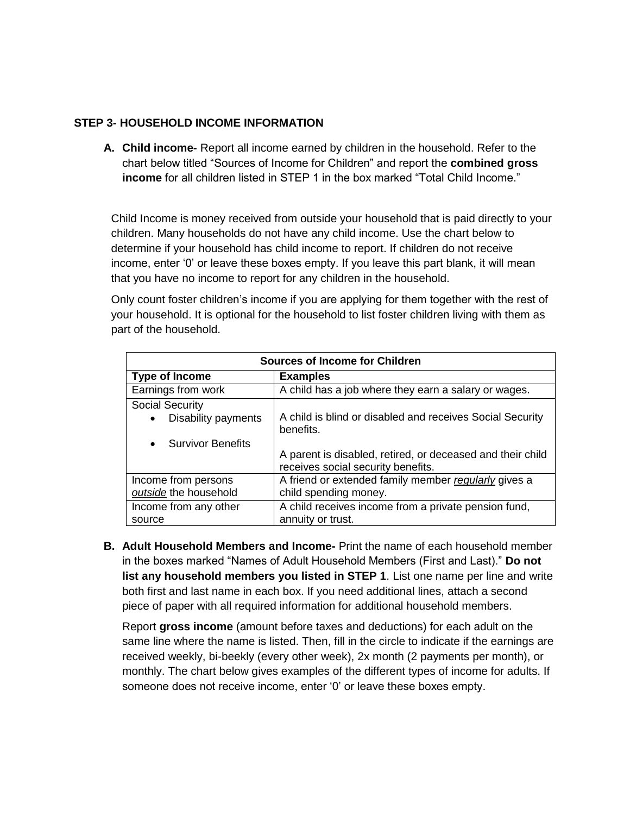#### **STEP 3- HOUSEHOLD INCOME INFORMATION**

**A. Child income-** Report all income earned by children in the household. Refer to the chart below titled "Sources of Income for Children" and report the **combined gross income** for all children listed in STEP 1 in the box marked "Total Child Income."

Child Income is money received from outside your household that is paid directly to your children. Many households do not have any child income. Use the chart below to determine if your household has child income to report. If children do not receive income, enter '0' or leave these boxes empty. If you leave this part blank, it will mean that you have no income to report for any children in the household.

Only count foster children's income if you are applying for them together with the rest of your household. It is optional for the household to list foster children living with them as part of the household.

| <b>Sources of Income for Children</b> |                                                                                                  |  |  |
|---------------------------------------|--------------------------------------------------------------------------------------------------|--|--|
| Type of Income                        | <b>Examples</b>                                                                                  |  |  |
| Earnings from work                    | A child has a job where they earn a salary or wages.                                             |  |  |
| <b>Social Security</b>                |                                                                                                  |  |  |
| Disability payments<br>$\bullet$      | A child is blind or disabled and receives Social Security<br>benefits.                           |  |  |
| <b>Survivor Benefits</b><br>$\bullet$ |                                                                                                  |  |  |
|                                       | A parent is disabled, retired, or deceased and their child<br>receives social security benefits. |  |  |
| Income from persons                   | A friend or extended family member regularly gives a                                             |  |  |
| outside the household                 | child spending money.                                                                            |  |  |
| Income from any other                 | A child receives income from a private pension fund,                                             |  |  |
| source                                | annuity or trust.                                                                                |  |  |

**B. Adult Household Members and Income-** Print the name of each household member in the boxes marked "Names of Adult Household Members (First and Last)." **Do not list any household members you listed in STEP 1**. List one name per line and write both first and last name in each box. If you need additional lines, attach a second piece of paper with all required information for additional household members.

Report **gross income** (amount before taxes and deductions) for each adult on the same line where the name is listed. Then, fill in the circle to indicate if the earnings are received weekly, bi-beekly (every other week), 2x month (2 payments per month), or monthly. The chart below gives examples of the different types of income for adults. If someone does not receive income, enter '0' or leave these boxes empty.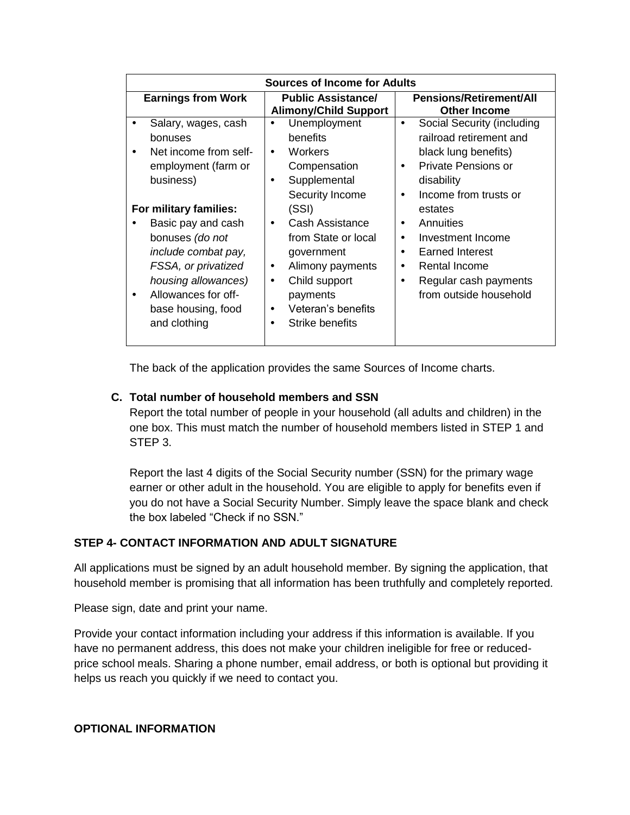| Sources of Income for Adults                                                                                                                                                                                   |                                                                                                                                                                                                          |                                                                                                                                                                                         |  |
|----------------------------------------------------------------------------------------------------------------------------------------------------------------------------------------------------------------|----------------------------------------------------------------------------------------------------------------------------------------------------------------------------------------------------------|-----------------------------------------------------------------------------------------------------------------------------------------------------------------------------------------|--|
| <b>Earnings from Work</b>                                                                                                                                                                                      | <b>Public Assistance/</b><br><b>Alimony/Child Support</b>                                                                                                                                                | <b>Pensions/Retirement/All</b><br><b>Other Income</b>                                                                                                                                   |  |
| Salary, wages, cash<br>bonuses<br>Net income from self-<br>employment (farm or<br>business)                                                                                                                    | Unemployment<br>٠<br>benefits<br>Workers<br>$\bullet$<br>Compensation<br>Supplemental<br>$\bullet$<br>Security Income                                                                                    | Social Security (including<br>٠<br>railroad retirement and<br>black lung benefits)<br>Private Pensions or<br>$\bullet$<br>disability<br>Income from trusts or<br>$\bullet$              |  |
| For military families:<br>Basic pay and cash<br>bonuses (do not<br>include combat pay,<br>FSSA, or privatized<br>housing allowances)<br>Allowances for off-<br>$\bullet$<br>base housing, food<br>and clothing | (SSI)<br>Cash Assistance<br>$\bullet$<br>from State or local<br>government<br>Alimony payments<br>٠<br>Child support<br>$\bullet$<br>payments<br>Veteran's benefits<br>$\bullet$<br>Strike benefits<br>٠ | estates<br>Annuities<br>٠<br>Investment Income<br>$\bullet$<br><b>Earned Interest</b><br>٠<br><b>Rental Income</b><br>$\bullet$<br>Regular cash payments<br>٠<br>from outside household |  |

The back of the application provides the same Sources of Income charts.

#### **C. Total number of household members and SSN**

Report the total number of people in your household (all adults and children) in the one box. This must match the number of household members listed in STEP 1 and STEP 3.

Report the last 4 digits of the Social Security number (SSN) for the primary wage earner or other adult in the household. You are eligible to apply for benefits even if you do not have a Social Security Number. Simply leave the space blank and check the box labeled "Check if no SSN."

## **STEP 4- CONTACT INFORMATION AND ADULT SIGNATURE**

All applications must be signed by an adult household member. By signing the application, that household member is promising that all information has been truthfully and completely reported.

Please sign, date and print your name.

Provide your contact information including your address if this information is available. If you have no permanent address, this does not make your children ineligible for free or reducedprice school meals. Sharing a phone number, email address, or both is optional but providing it helps us reach you quickly if we need to contact you.

#### **OPTIONAL INFORMATION**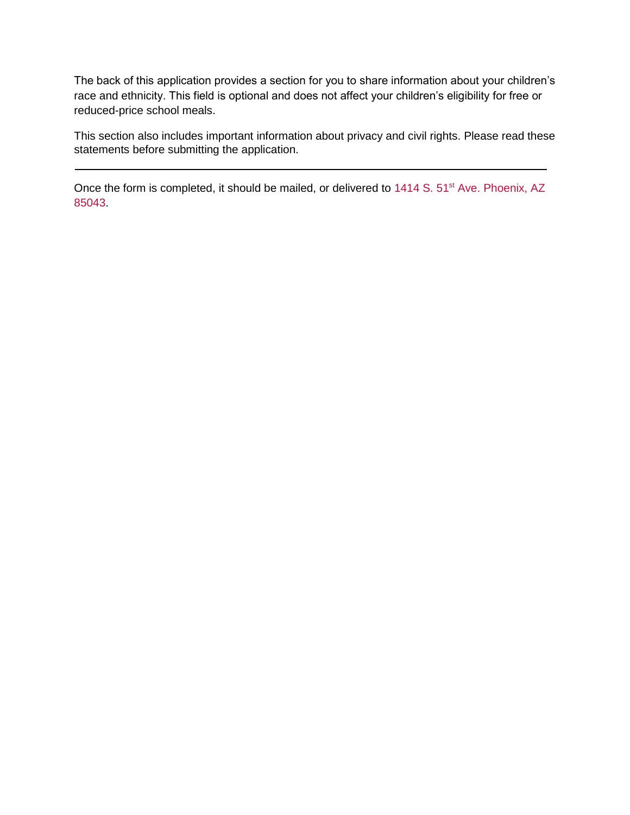The back of this application provides a section for you to share information about your children's race and ethnicity. This field is optional and does not affect your children's eligibility for free or reduced-price school meals.

This section also includes important information about privacy and civil rights. Please read these statements before submitting the application.

Once the form is completed, it should be mailed, or delivered to 1414 S. 51<sup>st</sup> Ave. Phoenix, AZ 85043.